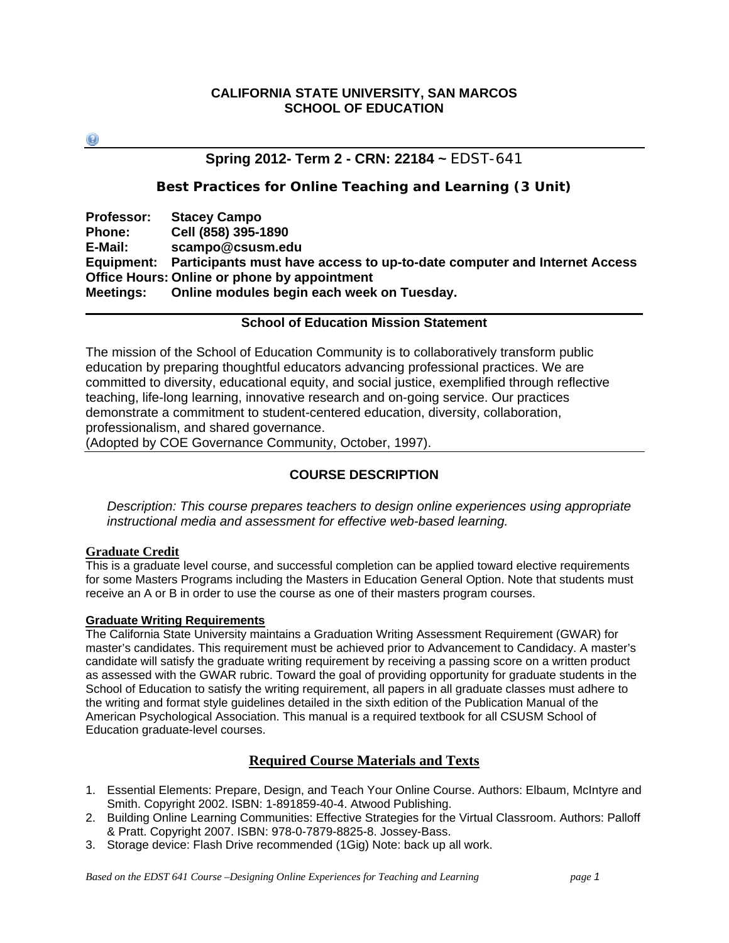## **CALIFORNIA STATE UNIVERSITY, SAN MARCOS SCHOOL OF EDUCATION**

 $\left( 2\right)$ 

## **Spring 2012- Term 2 - CRN: 22184 ~** EDST-641

## **Best Practices for Online Teaching and Learning (3 Unit)**

 **Meetings: Online modules begin each week on Tuesday. School of Education Mission Statement Professor: Stacey Campo Phone: Cell (858) 395-1890 E-Mail: scampo@csusm.edu Equipment: Participants must have access to up-to-date computer and Internet Access Office Hours: Online or phone by appointment** 

The mission of the School of Education Community is to collaboratively transform public education by preparing thoughtful educators advancing professional practices. We are committed to diversity, educational equity, and social justice, exemplified through reflective teaching, life-long learning, innovative research and on-going service. Our practices demonstrate a commitment to student-centered education, diversity, collaboration, professionalism, and shared governance.

(Adopted by COE Governance Community, October, 1997).

## **COURSE DESCRIPTION**

*Description: This course prepares teachers to design online experiences using appropriate instructional media and assessment for effective web-based learning.* 

### **Graduate Credit**

This is a graduate level course, and successful completion can be applied toward elective requirements for some Masters Programs including the Masters in Education General Option. Note that students must receive an A or B in order to use the course as one of their masters program courses.

### **Graduate Writing Requirements**

The California State University maintains a Graduation Writing Assessment Requirement (GWAR) for master's candidates. This requirement must be achieved prior to Advancement to Candidacy. A master's candidate will satisfy the graduate writing requirement by receiving a passing score on a written product as assessed with the GWAR rubric. Toward the goal of providing opportunity for graduate students in the School of Education to satisfy the writing requirement, all papers in all graduate classes must adhere to the writing and format style guidelines detailed in the sixth edition of the Publication Manual of the American Psychological Association. This manual is a required textbook for all CSUSM School of Education graduate-level courses.

## **Required Course Materials and Texts**

- 1. Essential Elements: Prepare, Design, and Teach Your Online Course. Authors: Elbaum, McIntyre and Smith. Copyright 2002. ISBN: 1-891859-40-4. Atwood Publishing.
- 2. Building Online Learning Communities: Effective Strategies for the Virtual Classroom. Authors: Palloff & Pratt. Copyright 2007. ISBN: 978-0-7879-8825-8. Jossey-Bass.
- 3. Storage device: Flash Drive recommended (1Gig) Note: back up all work.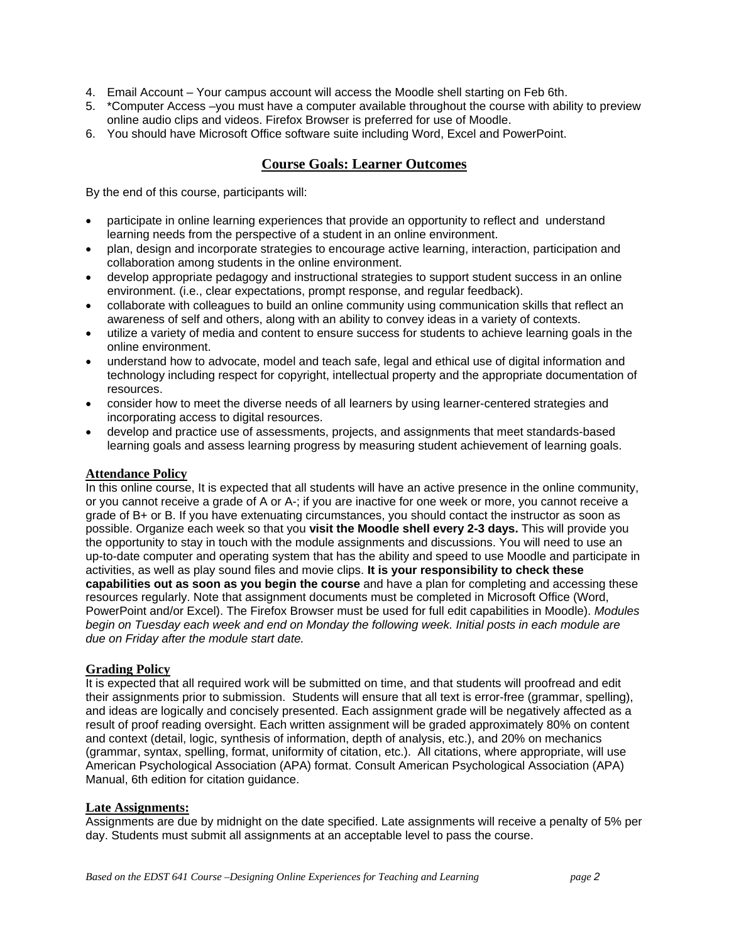- 4. Email Account Your campus account will access the Moodle shell starting on Feb 6th.
- 5. \*Computer Access –you must have a computer available throughout the course with ability to preview online audio clips and videos. Firefox Browser is preferred for use of Moodle.
- 6. You should have Microsoft Office software suite including Word, Excel and PowerPoint.

## **Course Goals: Learner Outcomes**

By the end of this course, participants will:

- participate in online learning experiences that provide an opportunity to reflect and understand learning needs from the perspective of a student in an online environment.
- plan, design and incorporate strategies to encourage active learning, interaction, participation and collaboration among students in the online environment.
- develop appropriate pedagogy and instructional strategies to support student success in an online environment. (i.e., clear expectations, prompt response, and regular feedback).
- collaborate with colleagues to build an online community using communication skills that reflect an awareness of self and others, along with an ability to convey ideas in a variety of contexts.
- utilize a variety of media and content to ensure success for students to achieve learning goals in the online environment.
- resources. understand how to advocate, model and teach safe, legal and ethical use of digital information and technology including respect for copyright, intellectual property and the appropriate documentation of
- incorporating access to digital resources. consider how to meet the diverse needs of all learners by using learner-centered strategies and
- develop and practice use of assessments, projects, and assignments that meet standards-based learning goals and assess learning progress by measuring student achievement of learning goals.

#### **Attendance Policy**

In this online course, It is expected that all students will have an active presence in the online community, or you cannot receive a grade of A or A-; if you are inactive for one week or more, you cannot receive a grade of B+ or B. If you have extenuating circumstances, you should contact the instructor as soon as possible. Organize each week so that you **visit the Moodle shell every 2-3 days.** This will provide you the opportunity to stay in touch with the module assignments and discussions. You will need to use an up-to-date computer and operating system that has the ability and speed to use Moodle and participate in activities, as well as play sound files and movie clips. **It is your responsibility to check these capabilities out as soon as you begin the course** and have a plan for completing and accessing these resources regularly. Note that assignment documents must be completed in Microsoft Office (Word, PowerPoint and/or Excel). The Firefox Browser must be used for full edit capabilities in Moodle). *Modules begin on Tuesday each week and end on Monday the following week. Initial posts in each module are due on Friday after the module start date.* 

### **Grading Policy**

 Manual, 6th edition for citation guidance. It is expected that all required work will be submitted on time, and that students will proofread and edit their assignments prior to submission. Students will ensure that all text is error-free (grammar, spelling), and ideas are logically and concisely presented. Each assignment grade will be negatively affected as a result of proof reading oversight. Each written assignment will be graded approximately 80% on content and context (detail, logic, synthesis of information, depth of analysis, etc.), and 20% on mechanics (grammar, syntax, spelling, format, uniformity of citation, etc.). All citations, where appropriate, will use American Psychological Association (APA) format. Consult American Psychological Association (APA)

#### **Late Assignments:**

Assignments are due by midnight on the date specified. Late assignments will receive a penalty of 5% per day. Students must submit all assignments at an acceptable level to pass the course.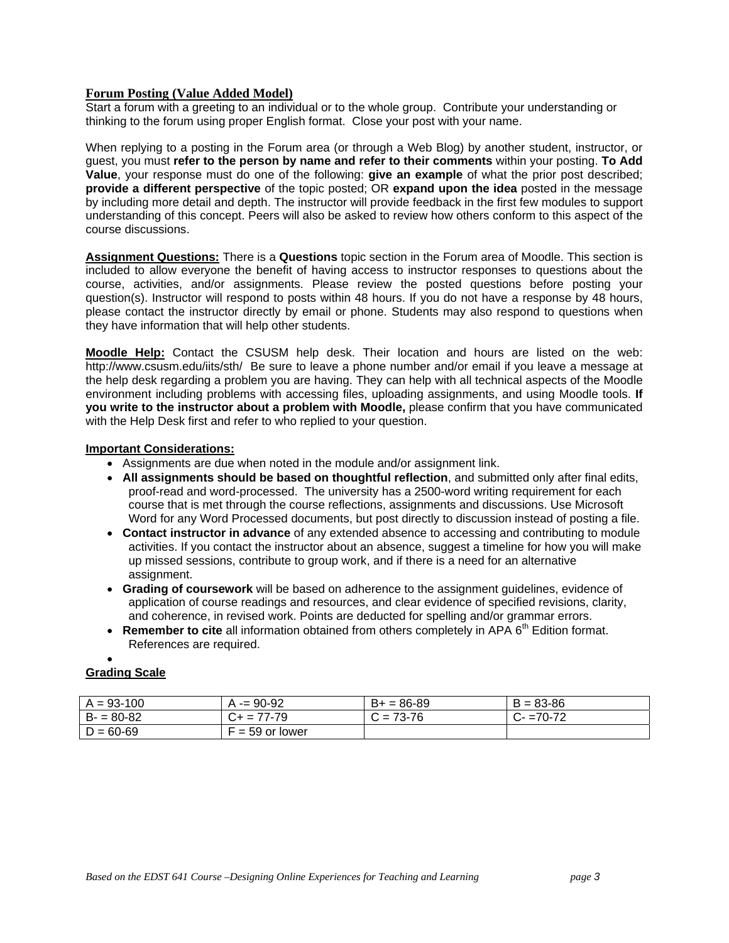#### **Forum Posting (Value Added Model)**

Start a forum with a greeting to an individual or to the whole group. Contribute your understanding or thinking to the forum using proper English format. Close your post with your name.

When replying to a posting in the Forum area (or through a Web Blog) by another student, instructor, or guest, you must **refer to the person by name and refer to their comments** within your posting. **To Add Value**, your response must do one of the following: **give an example** of what the prior post described; **provide a different perspective** of the topic posted; OR **expand upon the idea** posted in the message by including more detail and depth. The instructor will provide feedback in the first few modules to support understanding of this concept. Peers will also be asked to review how others conform to this aspect of the course discussions.

**Assignment Questions:** There is a **Questions** topic section in the Forum area of Moodle. This section is included to allow everyone the benefit of having access to instructor responses to questions about the course, activities, and/or assignments. Please review the posted questions before posting your question(s). Instructor will respond to posts within 48 hours. If you do not have a response by 48 hours, please contact the instructor directly by email or phone. Students may also respond to questions when they have information that will help other students.

**Moodle Help:** Contact the CSUSM help desk. Their location and hours are listed on the web: http://www.csusm.edu/iits/sth/ Be sure to leave a phone number and/or email if you leave a message at the help desk regarding a problem you are having. They can help with all technical aspects of the Moodle environment including problems with accessing files, uploading assignments, and using Moodle tools. **If you write to the instructor about a problem with Moodle,** please confirm that you have communicated with the Help Desk first and refer to who replied to your question.

#### **Important Considerations:**

- Assignments are due when noted in the module and/or assignment link.
- **All assignments should be based on thoughtful reflection**, and submitted only after final edits, proof-read and word-processed. The university has a 2500-word writing requirement for each course that is met through the course reflections, assignments and discussions. Use Microsoft Word for any Word Processed documents, but post directly to discussion instead of posting a file.
- **Contact instructor in advance** of any extended absence to accessing and contributing to module activities. If you contact the instructor about an absence, suggest a timeline for how you will make up missed sessions, contribute to group work, and if there is a need for an alternative assignment.
- **Grading of coursework** will be based on adherence to the assignment guidelines, evidence of application of course readings and resources, and clear evidence of specified revisions, clarity, and coherence, in revised work. Points are deducted for spelling and/or grammar errors.
- **Remember to cite** all information obtained from others completely in APA 6<sup>th</sup> Edition format. References are required.

#### $\bullet$

### **Grading Scale**

| $A = 93 - 100$ | $= 90 - 92$     | $B+ = 86-89$ | $B = 83 - 86$ |
|----------------|-----------------|--------------|---------------|
| $B - 80 - 82$  | $C_{+}$ = 77-79 | $C = 73-76$  | $C - 70-72$   |
| $D = 60 - 69$  | $= 59$ or lower |              |               |